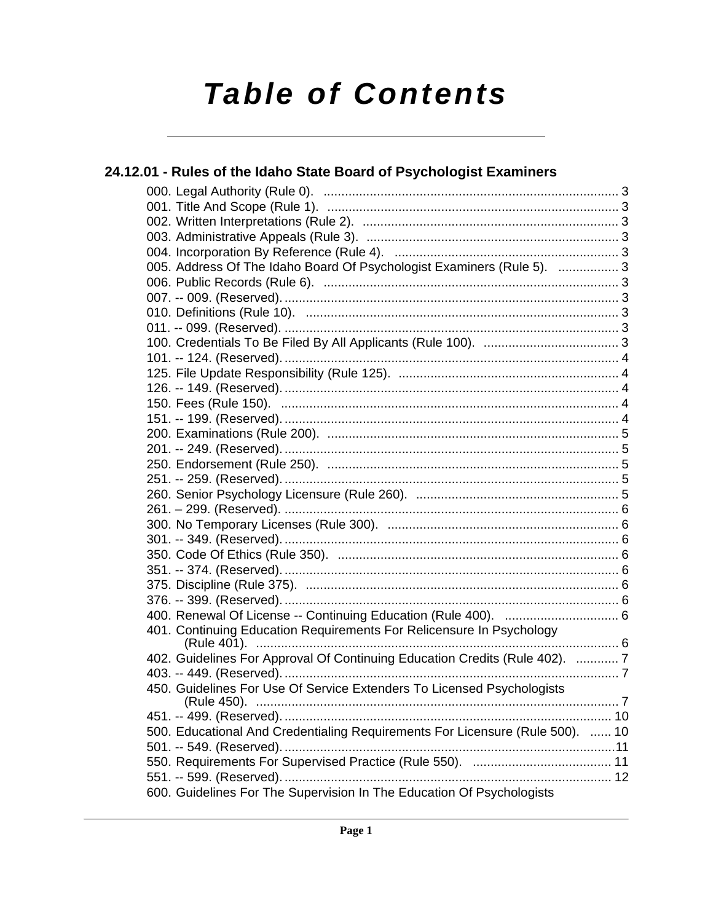# **Table of Contents**

| 24.12.01 - Rules of the Idaho State Board of Psychologist Examiners           |     |
|-------------------------------------------------------------------------------|-----|
|                                                                               |     |
|                                                                               |     |
|                                                                               |     |
|                                                                               |     |
|                                                                               |     |
| 005. Address Of The Idaho Board Of Psychologist Examiners (Rule 5).  3        |     |
|                                                                               |     |
|                                                                               |     |
|                                                                               |     |
|                                                                               |     |
|                                                                               |     |
|                                                                               |     |
|                                                                               |     |
|                                                                               |     |
|                                                                               |     |
|                                                                               |     |
|                                                                               |     |
|                                                                               |     |
|                                                                               |     |
|                                                                               |     |
|                                                                               |     |
|                                                                               |     |
|                                                                               |     |
|                                                                               |     |
|                                                                               |     |
|                                                                               |     |
|                                                                               |     |
|                                                                               |     |
|                                                                               |     |
| 401. Continuing Education Requirements For Relicensure In Psychology          | . 6 |
| 402. Guidelines For Approval Of Continuing Education Credits (Rule 402).  7   |     |
|                                                                               |     |
| 450. Guidelines For Use Of Service Extenders To Licensed Psychologists        |     |
|                                                                               |     |
| 500. Educational And Credentialing Requirements For Licensure (Rule 500).  10 |     |
|                                                                               |     |
|                                                                               |     |
|                                                                               |     |
| 600. Guidelines For The Supervision In The Education Of Psychologists         |     |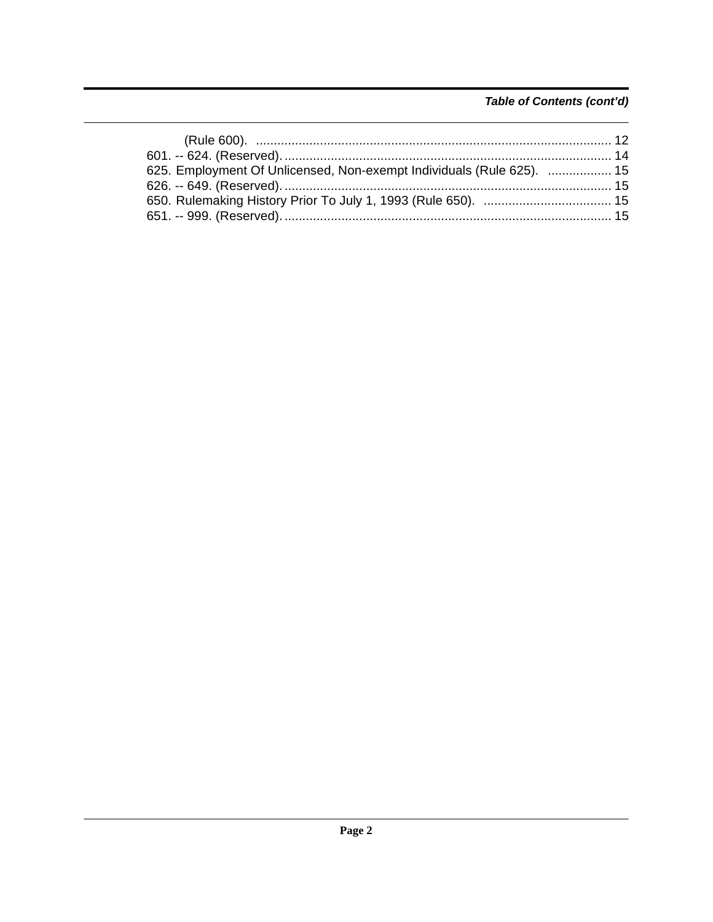### Table of Contents (cont'd)

| 625. Employment Of Unlicensed, Non-exempt Individuals (Rule 625).  15 |  |
|-----------------------------------------------------------------------|--|
|                                                                       |  |
|                                                                       |  |
|                                                                       |  |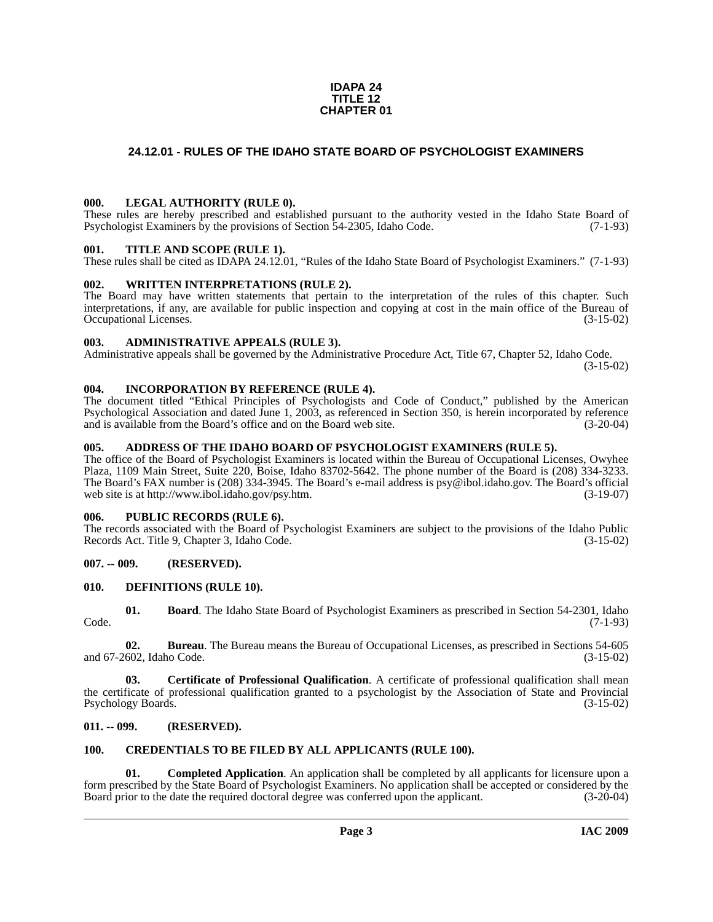### **IDAPA 24 TITLE 12 CHAPTER 01**

### <span id="page-2-0"></span>**24.12.01 - RULES OF THE IDAHO STATE BOARD OF PSYCHOLOGIST EXAMINERS**

### <span id="page-2-1"></span>**000. LEGAL AUTHORITY (RULE 0).**

These rules are hereby prescribed and established pursuant to the authority vested in the Idaho State Board of Psychologist Examiners by the provisions of Section 54-2305, Idaho Code. (7-1-93)

### <span id="page-2-2"></span>**001. TITLE AND SCOPE (RULE 1).**

These rules shall be cited as IDAPA 24.12.01, "Rules of the Idaho State Board of Psychologist Examiners." (7-1-93)

### <span id="page-2-3"></span>**002. WRITTEN INTERPRETATIONS (RULE 2).**

The Board may have written statements that pertain to the interpretation of the rules of this chapter. Such interpretations, if any, are available for public inspection and copying at cost in the main office of the Bureau of Occupational Licenses. (3-15-02) Occupational Licenses.

### <span id="page-2-4"></span>**003. ADMINISTRATIVE APPEALS (RULE 3).**

Administrative appeals shall be governed by the Administrative Procedure Act, Title 67, Chapter 52, Idaho Code.

(3-15-02)

### <span id="page-2-5"></span>**004. INCORPORATION BY REFERENCE (RULE 4).**

The document titled "Ethical Principles of Psychologists and Code of Conduct," published by the American Psychological Association and dated June 1, 2003, as referenced in Section 350, is herein incorporated by reference and is available from the Board's office and on the Board web site. (3-20-04)

### <span id="page-2-6"></span>**005. ADDRESS OF THE IDAHO BOARD OF PSYCHOLOGIST EXAMINERS (RULE 5).**

[The office of the Board of Psychologist Examiners is located within the Bureau of Occupational Licenses, Owyhee](mailto:psy@ibol.idaho.gov)  Plaza, 1109 Main Street, Suite 220, Boise, Idaho 83702-5642. The phone number of the Board is (208) 334-3233. The Board's FAX number is (208) 334-3945. The Board's e-mail address is psy@ibol.idaho.gov. The Board's official [web site is at](mailto:psy@ibol.idaho.gov) [http://www.ibol.idaho.gov/psy.htm. \(3-19-07\)](http://www.ibol.idaho.gov/psy.htm)

### <span id="page-2-7"></span>**006. PUBLIC RECORDS (RULE 6).**

The records associated with the Board of Psychologist Examiners are subject to the provisions of the Idaho Public Records Act. Title 9, Chapter 3, Idaho Code. (3-15-02)

### <span id="page-2-8"></span>**007. -- 009. (RESERVED).**

### <span id="page-2-15"></span><span id="page-2-9"></span>**010. DEFINITIONS (RULE 10).**

<span id="page-2-12"></span>**01. Board**. The Idaho State Board of Psychologist Examiners as prescribed in Section 54-2301, Idaho Code. (7-1-93)

**02. Bureau**. The Bureau means the Bureau of Occupational Licenses, as prescribed in Sections 54-605 and 67-2602, Idaho Code. (3-15-02)

**03. Certificate of Professional Qualification**. A certificate of professional qualification shall mean the certificate of professional qualification granted to a psychologist by the Association of State and Provincial Psychology Boards. (3-15-02)

### <span id="page-2-10"></span>**011. -- 099. (RESERVED).**

### <span id="page-2-14"></span><span id="page-2-11"></span>**100. CREDENTIALS TO BE FILED BY ALL APPLICANTS (RULE 100).**

<span id="page-2-13"></span>**01. Completed Application**. An application shall be completed by all applicants for licensure upon a form prescribed by the State Board of Psychologist Examiners. No application shall be accepted or considered by the Board prior to the date the required doctoral degree was conferred upon the applicant. (3-20-04)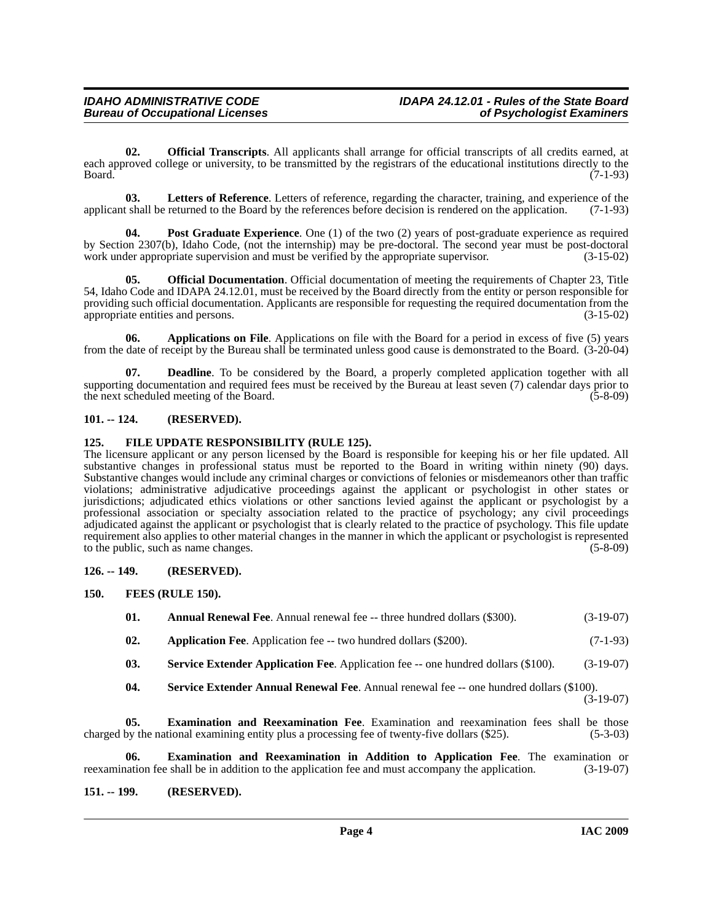<span id="page-3-11"></span>**02. Official Transcripts**. All applicants shall arrange for official transcripts of all credits earned, at each approved college or university, to be transmitted by the registrars of the educational institutions directly to the Board. (7-1-93) Board. (7-1-93)

<span id="page-3-10"></span>**03.** Letters of Reference. Letters of reference, regarding the character, training, and experience of the tshall be returned to the Board by the references before decision is rendered on the application. (7-1-93) applicant shall be returned to the Board by the references before decision is rendered on the application.

<span id="page-3-12"></span>**04.** Post Graduate Experience. One (1) of the two (2) years of post-graduate experience as required by Section 2307(b), Idaho Code, (not the internship) may be pre-doctoral. The second year must be post-doctoral work under appropriate supervision and must be verified by the appropriate supervisor. (3-15-02)

**05. Official Documentation**. Official documentation of meeting the requirements of Chapter 23, Title 54, Idaho Code and IDAPA 24.12.01, must be received by the Board directly from the entity or person responsible for providing such official documentation. Applicants are responsible for requesting the required documentation from the appropriate entities and persons. (3-15-02) appropriate entities and persons.

**06. Applications on File**. Applications on file with the Board for a period in excess of five (5) years from the date of receipt by the Bureau shall be terminated unless good cause is demonstrated to the Board. (3-20-04)

**07. Deadline**. To be considered by the Board, a properly completed application together with all supporting documentation and required fees must be received by the Bureau at least seven (7) calendar days prior to the next scheduled meeting of the Board. (5-8-09) the next scheduled meeting of the Board.

### <span id="page-3-0"></span>**101. -- 124. (RESERVED).**

### <span id="page-3-1"></span>**125. FILE UPDATE RESPONSIBILITY (RULE 125).**

The licensure applicant or any person licensed by the Board is responsible for keeping his or her file updated. All substantive changes in professional status must be reported to the Board in writing within ninety (90) days. Substantive changes would include any criminal charges or convictions of felonies or misdemeanors other than traffic violations; administrative adjudicative proceedings against the applicant or psychologist in other states or jurisdictions; adjudicated ethics violations or other sanctions levied against the applicant or psychologist by a professional association or specialty association related to the practice of psychology; any civil proceedings adjudicated against the applicant or psychologist that is clearly related to the practice of psychology. This file update requirement also applies to other material changes in the manner in which the applicant or psychologist is represented to the public, such as name changes. (5-8-09)

### <span id="page-3-2"></span>**126. -- 149. (RESERVED).**

- <span id="page-3-9"></span><span id="page-3-6"></span><span id="page-3-5"></span><span id="page-3-3"></span>**150. FEES (RULE 150).**
	- **01.** Annual Renewal Fee. Annual renewal fee -- three hundred dollars (\$300). (3-19-07)
	- **02. Application Fee**. Application fee -- two hundred dollars (\$200). (7-1-93)
	- **03. Service Extender Application Fee**. Application fee -- one hundred dollars (\$100). (3-19-07)
	- **04.** Service Extender Annual Renewal Fee. Annual renewal fee -- one hundred dollars (\$100). (3-19-07)

<span id="page-3-13"></span><span id="page-3-8"></span>**05. Examination and Reexamination Fee**. Examination and reexamination fees shall be those charged by the national examining entity plus a processing fee of twenty-five dollars (\$25). (5-3-03)

<span id="page-3-7"></span>**06. Examination and Reexamination in Addition to Application Fee**. The examination or nation fee shall be in addition to the application fee and must accompany the application. (3-19-07) reexamination fee shall be in addition to the application fee and must accompany the application.

### <span id="page-3-4"></span>**151. -- 199. (RESERVED).**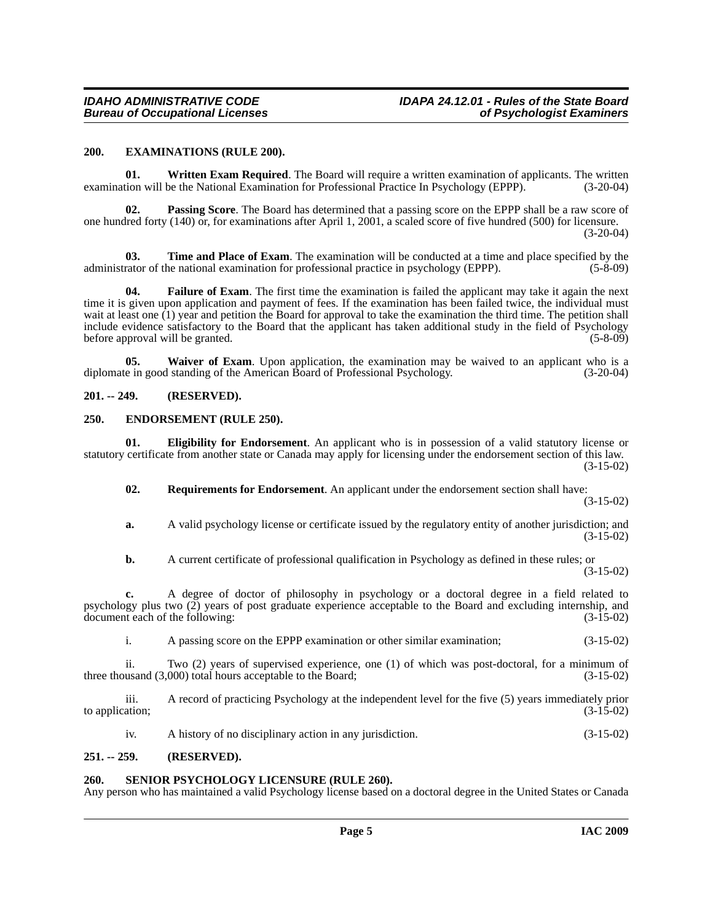### <span id="page-4-7"></span><span id="page-4-0"></span>**200. EXAMINATIONS (RULE 200).**

<span id="page-4-13"></span>**01.** Written Exam Required. The Board will require a written examination of applicants. The written examination will be the National Examination for Professional Practice In Psychology (EPPP). (3-20-04)

**02. Passing Score**. The Board has determined that a passing score on the EPPP shall be a raw score of one hundred forty (140) or, for examinations after April 1, 2001, a scaled score of five hundred (500) for licensure.

 $(3-20-04)$ 

<span id="page-4-11"></span>**03.** Time and Place of Exam. The examination will be conducted at a time and place specified by the rational examination for professional practice in psychology (EPPP).  $(5-8-09)$ administrator of the national examination for professional practice in psychology (EPPP).

<span id="page-4-8"></span>**04. Failure of Exam**. The first time the examination is failed the applicant may take it again the next time it is given upon application and payment of fees. If the examination has been failed twice, the individual must wait at least one (1) year and petition the Board for approval to take the examination the third time. The petition shall include evidence satisfactory to the Board that the applicant has taken additional study in the field of Psychology before approval will be granted. (5-8-09) (5-8-09)

<span id="page-4-12"></span>**05.** Waiver of Exam. Upon application, the examination may be waived to an applicant who is a diplomate in good standing of the American Board of Professional Psychology. (3-20-04)

### <span id="page-4-1"></span>**201. -- 249. (RESERVED).**

### <span id="page-4-6"></span><span id="page-4-2"></span>**250. ENDORSEMENT (RULE 250).**

**01. Eligibility for Endorsement**. An applicant who is in possession of a valid statutory license or statutory certificate from another state or Canada may apply for licensing under the endorsement section of this law. (3-15-02)

<span id="page-4-9"></span><span id="page-4-5"></span>**02. Requirements for Endorsement**. An applicant under the endorsement section shall have:

(3-15-02)

**a.** A valid psychology license or certificate issued by the regulatory entity of another jurisdiction; and (3-15-02)

**b.** A current certificate of professional qualification in Psychology as defined in these rules; or (3-15-02)

**c.** A degree of doctor of philosophy in psychology or a doctoral degree in a field related to psychology plus two (2) years of post graduate experience acceptable to the Board and excluding internship, and document each of the following: (3-15-02)

i. A passing score on the EPPP examination or other similar examination; (3-15-02)

ii. Two (2) years of supervised experience, one (1) of which was post-doctoral, for a minimum of three thousand (3,000) total hours acceptable to the Board; (3-15-02)

iii. A record of practicing Psychology at the independent level for the five (5) years immediately prior to application;

<span id="page-4-10"></span>iv. A history of no disciplinary action in any jurisdiction. (3-15-02)

### <span id="page-4-3"></span>**251. -- 259. (RESERVED).**

### <span id="page-4-4"></span>**260. SENIOR PSYCHOLOGY LICENSURE (RULE 260).**

Any person who has maintained a valid Psychology license based on a doctoral degree in the United States or Canada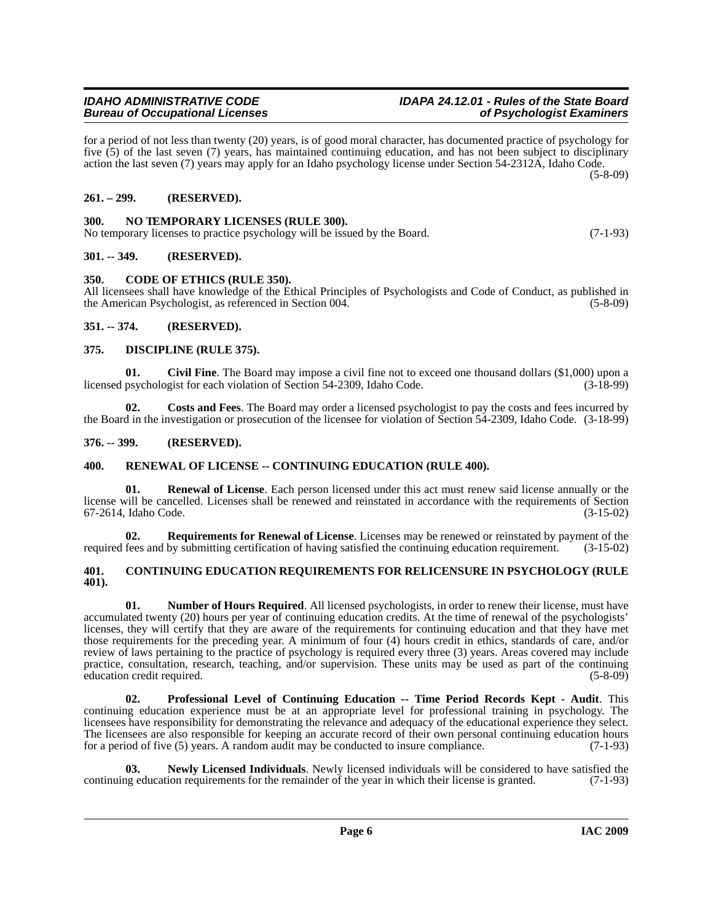### <span id="page-5-10"></span><span id="page-5-3"></span>**350. CODE OF ETHICS (RULE 350).**

<span id="page-5-15"></span><span id="page-5-1"></span>**300. NO TEMPORARY LICENSES (RULE 300).**

All licensees shall have knowledge of the Ethical Principles of Psychologists and Code of Conduct, as published in the American Psychologist, as referenced in Section 004. (5-8-09)

for a period of not less than twenty (20) years, is of good moral character, has documented practice of psychology for five (5) of the last seven (7) years, has maintained continuing education, and has not been subject to disciplinary action the last seven (7) years may apply for an Idaho psychology license under Section 54-2312A, Idaho Code.

### <span id="page-5-4"></span>**351. -- 374. (RESERVED).**

<span id="page-5-0"></span>**261. – 299. (RESERVED).**

<span id="page-5-2"></span>**301. -- 349. (RESERVED).**

### <span id="page-5-13"></span><span id="page-5-5"></span>**375. DISCIPLINE (RULE 375).**

*Bureau of Occupational Licenses* 

<span id="page-5-9"></span>**01.** Civil Fine. The Board may impose a civil fine not to exceed one thousand dollars (\$1,000) upon a psychologist for each violation of Section 54-2309. Idaho Code. (3-18-99) licensed psychologist for each violation of Section 54-2309, Idaho Code.

<span id="page-5-12"></span>**02. Costs and Fees**. The Board may order a licensed psychologist to pay the costs and fees incurred by the Board in the investigation or prosecution of the licensee for violation of Section 54-2309, Idaho Code. (3-18-99)

### <span id="page-5-6"></span>**376. -- 399. (RESERVED).**

### <span id="page-5-18"></span><span id="page-5-7"></span>**400. RENEWAL OF LICENSE -- CONTINUING EDUCATION (RULE 400).**

**01. Renewal of License**. Each person licensed under this act must renew said license annually or the license will be cancelled. Licenses shall be renewed and reinstated in accordance with the requirements of Section 67-2614, Idaho Code. (3-15-02)

<span id="page-5-19"></span>**02. Requirements for Renewal of License**. Licenses may be renewed or reinstated by payment of the required fees and by submitting certification of having satisfied the continuing education requirement. (3-15-02)

### <span id="page-5-11"></span><span id="page-5-8"></span>**401. CONTINUING EDUCATION REQUIREMENTS FOR RELICENSURE IN PSYCHOLOGY (RULE 401).**

<span id="page-5-16"></span>**01. Number of Hours Required**. All licensed psychologists, in order to renew their license, must have accumulated twenty (20) hours per year of continuing education credits. At the time of renewal of the psychologists' licenses, they will certify that they are aware of the requirements for continuing education and that they have met those requirements for the preceding year. A minimum of four (4) hours credit in ethics, standards of care, and/or review of laws pertaining to the practice of psychology is required every three (3) years. Areas covered may include practice, consultation, research, teaching, and/or supervision. These units may be used as part of the continuing education credit required. (5-8-09)

<span id="page-5-17"></span>**02. Professional Level of Continuing Education -- Time Period Records Kept - Audit**. This continuing education experience must be at an appropriate level for professional training in psychology. The licensees have responsibility for demonstrating the relevance and adequacy of the educational experience they select. The licensees are also responsible for keeping an accurate record of their own personal continuing education hours for a period of five (5) years. A random audit may be conducted to insure compliance. (7-1-93)

<span id="page-5-14"></span>**03.** Newly Licensed Individuals. Newly licensed individuals will be considered to have satisfied the geducation requirements for the remainder of the year in which their license is granted. (7-1-93) continuing education requirements for the remainder of the year in which their license is granted.

## *IDAHO ADMINISTRATIVE CODE IDAPA 24.12.01 - Rules of the State Board*

(5-8-09)

No temporary licenses to practice psychology will be issued by the Board. (7-1-93)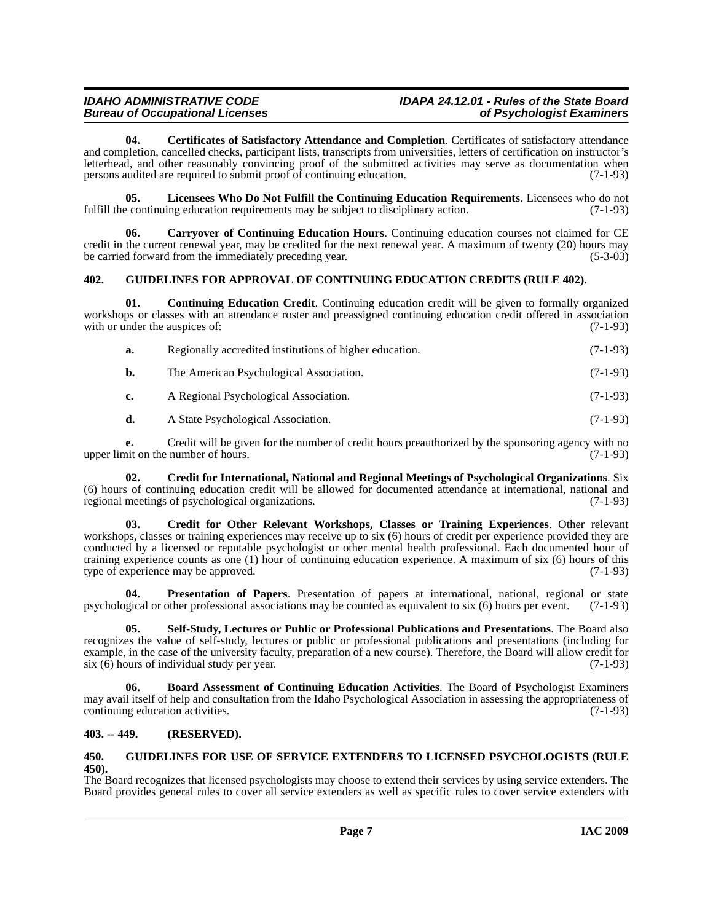### *IDAHO ADMINISTRATIVE CODE IDAPA 24.12.01 - Rules of the State Board*

<span id="page-6-5"></span>**04. Certificates of Satisfactory Attendance and Completion**. Certificates of satisfactory attendance and completion, cancelled checks, participant lists, transcripts from universities, letters of certification on instructor's letterhead, and other reasonably convincing proof of the submitted activities may serve as documentation when persons audited are required to submit proof of continuing education. (7-1-93)

<span id="page-6-11"></span>**05. Licensees Who Do Not Fulfill the Continuing Education Requirements**. Licensees who do not e continuing education requirements may be subject to disciplinary action. (7-1-93) fulfill the continuing education requirements may be subject to disciplinary action.

<span id="page-6-4"></span>**06. Carryover of Continuing Education Hours**. Continuing education courses not claimed for CE credit in the current renewal year, may be credited for the next renewal year. A maximum of twenty (20) hours may be carried forward from the immediately preceding year. (5-3-03)

### <span id="page-6-9"></span><span id="page-6-0"></span>**402. GUIDELINES FOR APPROVAL OF CONTINUING EDUCATION CREDITS (RULE 402).**

**01. Continuing Education Credit**. Continuing education credit will be given to formally organized workshops or classes with an attendance roster and preassigned continuing education credit offered in association with or under the auspices of: (7-1-93) with or under the auspices of:

<span id="page-6-6"></span>

| <b>a.</b> | Regionally accredited institutions of higher education. | $(7-1-93)$ |
|-----------|---------------------------------------------------------|------------|
| b.        | The American Psychological Association.                 | $(7-1-93)$ |
| c.        | A Regional Psychological Association.                   | $(7-1-93)$ |
| d.        | A State Psychological Association.                      | $(7-1-93)$ |

**e.** Credit will be given for the number of credit hours preauthorized by the sponsoring agency with no nit on the number of hours. (7-1-93) upper limit on the number of hours.

<span id="page-6-7"></span>**02. Credit for International, National and Regional Meetings of Psychological Organizations**. Six (6) hours of continuing education credit will be allowed for documented attendance at international, national and regional meetings of psychological organizations. (7-1-93)

<span id="page-6-8"></span>**03. Credit for Other Relevant Workshops, Classes or Training Experiences**. Other relevant workshops, classes or training experiences may receive up to six (6) hours of credit per experience provided they are conducted by a licensed or reputable psychologist or other mental health professional. Each documented hour of training experience counts as one (1) hour of continuing education experience. A maximum of six (6) hours of this type of experience may be approved. (7-1-93)

<span id="page-6-12"></span>**04. Presentation of Papers**. Presentation of papers at international, national, regional or state psychological or other professional associations may be counted as equivalent to six (6) hours per event. (7-1-93)

<span id="page-6-13"></span>**05. Self-Study, Lectures or Public or Professional Publications and Presentations**. The Board also recognizes the value of self-study, lectures or public or professional publications and presentations (including for example, in the case of the university faculty, preparation of a new course). Therefore, the Board will allow credit for six (6) hours of individual study per year. six  $(6)$  hours of individual study per year.

<span id="page-6-3"></span>**06. Board Assessment of Continuing Education Activities**. The Board of Psychologist Examiners may avail itself of help and consultation from the Idaho Psychological Association in assessing the appropriateness of continuing education activities. (7-1-93) continuing education activities.

### <span id="page-6-1"></span>**403. -- 449. (RESERVED).**

### <span id="page-6-10"></span><span id="page-6-2"></span>**450. GUIDELINES FOR USE OF SERVICE EXTENDERS TO LICENSED PSYCHOLOGISTS (RULE 450).**

The Board recognizes that licensed psychologists may choose to extend their services by using service extenders. The Board provides general rules to cover all service extenders as well as specific rules to cover service extenders with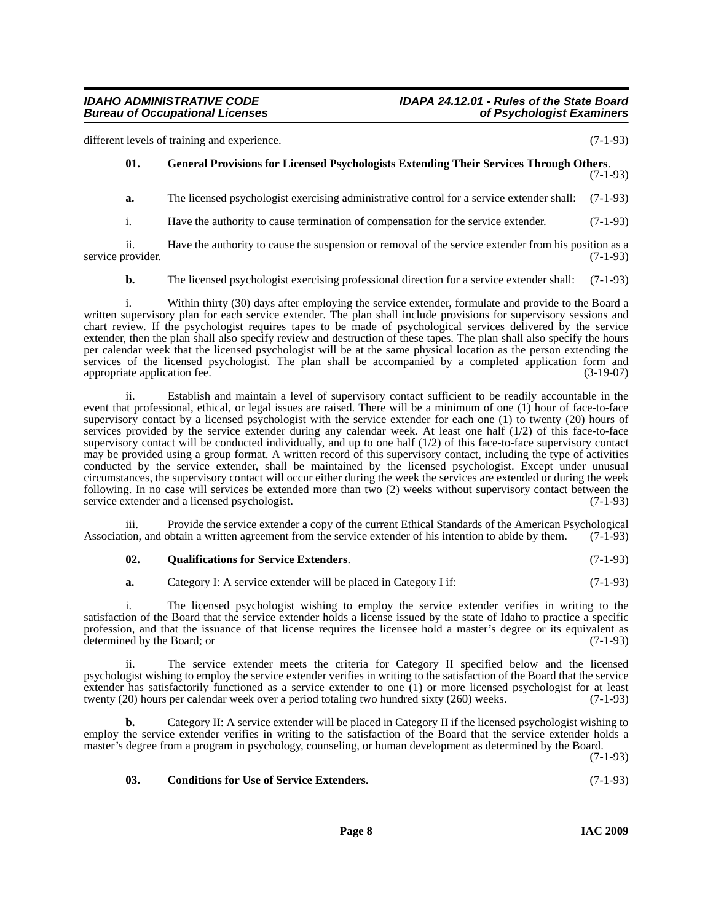different levels of training and experience. (7-1-93)

### <span id="page-7-1"></span>**01. General Provisions for Licensed Psychologists Extending Their Services Through Others**. (7-1-93)

**a.** The licensed psychologist exercising administrative control for a service extender shall: (7-1-93)

i. Have the authority to cause termination of compensation for the service extender. (7-1-93)

ii. Have the authority to cause the suspension or removal of the service extender from his position as a rovider. (7-1-93) service provider.

**b.** The licensed psychologist exercising professional direction for a service extender shall: (7-1-93)

i. Within thirty (30) days after employing the service extender, formulate and provide to the Board a written supervisory plan for each service extender. The plan shall include provisions for supervisory sessions and chart review. If the psychologist requires tapes to be made of psychological services delivered by the service extender, then the plan shall also specify review and destruction of these tapes. The plan shall also specify the hours per calendar week that the licensed psychologist will be at the same physical location as the person extending the services of the licensed psychologist. The plan shall be accompanied by a completed application form and appropriate application fee. (3-19-07)

ii. Establish and maintain a level of supervisory contact sufficient to be readily accountable in the event that professional, ethical, or legal issues are raised. There will be a minimum of one (1) hour of face-to-face supervisory contact by a licensed psychologist with the service extender for each one (1) to twenty (20) hours of services provided by the service extender during any calendar week. At least one half (1/2) of this face-to-face supervisory contact will be conducted individually, and up to one half (1/2) of this face-to-face supervisory contact may be provided using a group format. A written record of this supervisory contact, including the type of activities conducted by the service extender, shall be maintained by the licensed psychologist. Except under unusual circumstances, the supervisory contact will occur either during the week the services are extended or during the week following. In no case will services be extended more than two (2) weeks without supervisory contact between the service extender and a licensed psychologist. (7-1-93)

iii. Provide the service extender a copy of the current Ethical Standards of the American Psychological lon, and obtain a written agreement from the service extender of his intention to abide by them. (7-1-93) Association, and obtain a written agreement from the service extender of his intention to abide by them.

### <span id="page-7-2"></span>**02. Qualifications for Service Extenders**. (7-1-93)

**a.** Category I: A service extender will be placed in Category I if: (7-1-93)

i. The licensed psychologist wishing to employ the service extender verifies in writing to the satisfaction of the Board that the service extender holds a license issued by the state of Idaho to practice a specific profession, and that the issuance of that license requires the licensee hold a master's degree or its equivalent as determined by the Board; or (7-1-93) determined by the Board; or

ii. The service extender meets the criteria for Category II specified below and the licensed psychologist wishing to employ the service extender verifies in writing to the satisfaction of the Board that the service extender has satisfactorily functioned as a service extender to one (1) or more licensed psychologist for at least twenty (20) hours per calendar week over a period totaling two hundred sixty (260) weeks. (7-1-93) twenty  $(20)$  hours per calendar week over a period totaling two hundred sixty  $(260)$  weeks.

**b.** Category II: A service extender will be placed in Category II if the licensed psychologist wishing to employ the service extender verifies in writing to the satisfaction of the Board that the service extender holds a master's degree from a program in psychology, counseling, or human development as determined by the Board.

(7-1-93)

### <span id="page-7-0"></span>**03. Conditions for Use of Service Extenders**. (7-1-93)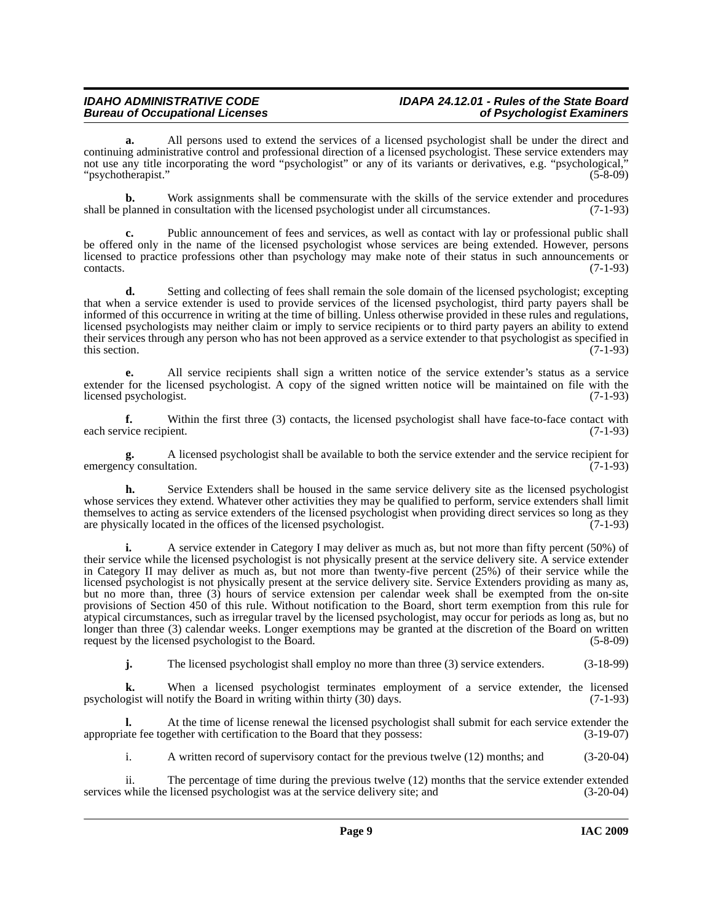### *IDAHO ADMINISTRATIVE CODE IDAPA 24.12.01 - Rules of the State Board*

**a.** All persons used to extend the services of a licensed psychologist shall be under the direct and continuing administrative control and professional direction of a licensed psychologist. These service extenders may not use any title incorporating the word "psychologist" or any of its variants or derivatives, e.g. "psychological," "psychotherapist." (5-8-09)

**b.** Work assignments shall be commensurate with the skills of the service extender and procedures planned in consultation with the licensed psychologist under all circumstances. (7-1-93) shall be planned in consultation with the licensed psychologist under all circumstances.

**c.** Public announcement of fees and services, as well as contact with lay or professional public shall be offered only in the name of the licensed psychologist whose services are being extended. However, persons licensed to practice professions other than psychology may make note of their status in such announcements or  $\text{constants.}$  (7-1-93)

**d.** Setting and collecting of fees shall remain the sole domain of the licensed psychologist; excepting that when a service extender is used to provide services of the licensed psychologist, third party payers shall be informed of this occurrence in writing at the time of billing. Unless otherwise provided in these rules and regulations, licensed psychologists may neither claim or imply to service recipients or to third party payers an ability to extend their services through any person who has not been approved as a service extender to that psychologist as specified in this section.  $(7-1-93)$ 

**e.** All service recipients shall sign a written notice of the service extender's status as a service extender for the licensed psychologist. A copy of the signed written notice will be maintained on file with the licensed psychologist. (7-1-93) licensed psychologist.

**f.** Within the first three (3) contacts, the licensed psychologist shall have face-to-face contact with vice recipient. (7-1-93) each service recipient.

**g.** A licensed psychologist shall be available to both the service extender and the service recipient for emergency consultation.

**h.** Service Extenders shall be housed in the same service delivery site as the licensed psychologist whose services they extend. Whatever other activities they may be qualified to perform, service extenders shall limit themselves to acting as service extenders of the licensed psychologist when providing direct services so long as they are physically located in the offices of the licensed psychologist. (7-1-93)

**i.** A service extender in Category I may deliver as much as, but not more than fifty percent (50%) of their service while the licensed psychologist is not physically present at the service delivery site. A service extender in Category II may deliver as much as, but not more than twenty-five percent (25%) of their service while the licensed psychologist is not physically present at the service delivery site. Service Extenders providing as many as, but no more than, three (3) hours of service extension per calendar week shall be exempted from the on-site provisions of Section 450 of this rule. Without notification to the Board, short term exemption from this rule for atypical circumstances, such as irregular travel by the licensed psychologist, may occur for periods as long as, but no longer than three (3) calendar weeks. Longer exemptions may be granted at the discretion of the Board on written request by the licensed psychologist to the Board. (5-8-09) request by the licensed psychologist to the Board.

**j.** The licensed psychologist shall employ no more than three (3) service extenders. (3-18-99)

When a licensed psychologist terminates employment of a service extender, the licensed notify the Board in writing within thirty (30) days. (7-1-93) psychologist will notify the Board in writing within thirty  $(30)$  days.

**l.** At the time of license renewal the licensed psychologist shall submit for each service extender the appropriate fee together with certification to the Board that they possess: (3-19-07)

i. A written record of supervisory contact for the previous twelve (12) months; and (3-20-04)

ii. The percentage of time during the previous twelve (12) months that the service extender extended services while the licensed psychologist was at the service delivery site; and  $(3-20-04)$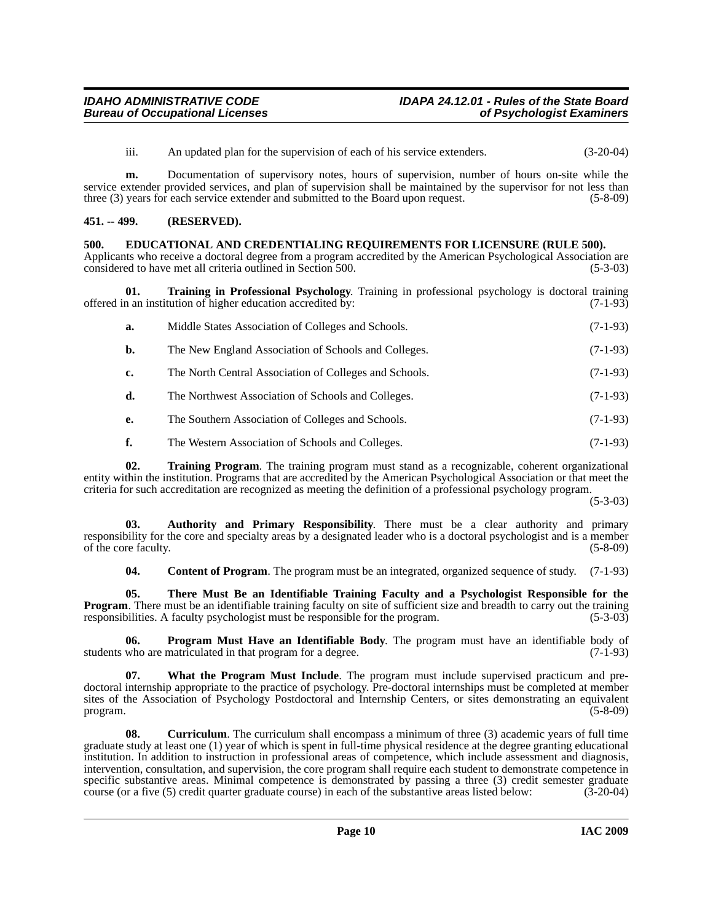iii. An updated plan for the supervision of each of his service extenders. (3-20-04)

**m.** Documentation of supervisory notes, hours of supervision, number of hours on-site while the service extender provided services, and plan of supervision shall be maintained by the supervisor for not less than three (3) years for each service extender and submitted to the Board upon request. (5-8-09)

### <span id="page-9-0"></span>**451. -- 499. (RESERVED).**

### <span id="page-9-5"></span><span id="page-9-1"></span>**500. EDUCATIONAL AND CREDENTIALING REQUIREMENTS FOR LICENSURE (RULE 500).**

Applicants who receive a doctoral degree from a program accredited by the American Psychological Association are considered to have met all criteria outlined in Section 500. (5-3-03)

**01. Training in Professional Psychology**. Training in professional psychology is doctoral training offered in an institution of higher education accredited by: (7-1-93)

<span id="page-9-8"></span>

| a. | Middle States Association of Colleges and Schools.     | $(7-1-93)$ |
|----|--------------------------------------------------------|------------|
| b. | The New England Association of Schools and Colleges.   | $(7-1-93)$ |
| c. | The North Central Association of Colleges and Schools. | $(7-1-93)$ |
| d. | The Northwest Association of Schools and Colleges.     | $(7-1-93)$ |

- **e.** The Southern Association of Colleges and Schools. (7-1-93)
- <span id="page-9-9"></span>**f.** The Western Association of Schools and Colleges. (7-1-93)

**02. Training Program**. The training program must stand as a recognizable, coherent organizational entity within the institution. Programs that are accredited by the American Psychological Association or that meet the criteria for such accreditation are recognized as meeting the definition of a professional psychology program.

(5-3-03)

**03. Authority and Primary Responsibility**. There must be a clear authority and primary responsibility for the core and specialty areas by a designated leader who is a doctoral psychologist and is a member of the core faculty. (5-8-09)

<span id="page-9-7"></span><span id="page-9-6"></span><span id="page-9-3"></span><span id="page-9-2"></span>**04. Content of Program**. The program must be an integrated, organized sequence of study. (7-1-93)

**05. There Must Be an Identifiable Training Faculty and a Psychologist Responsible for the Program**. There must be an identifiable training faculty on site of sufficient size and breadth to carry out the training responsibilities. A faculty psychologist must be responsible for the program. (5-3-03)

**06. Program Must Have an Identifiable Body**. The program must have an identifiable body of who are matriculated in that program for a degree. (7-1-93) students who are matriculated in that program for a degree.

<span id="page-9-10"></span>**07. What the Program Must Include**. The program must include supervised practicum and predoctoral internship appropriate to the practice of psychology. Pre-doctoral internships must be completed at member sites of the Association of Psychology Postdoctoral and Internship Centers, or sites demonstrating an equivalent program. (5-8-09) program.  $(5-8-09)$ 

<span id="page-9-4"></span>**08. Curriculum**. The curriculum shall encompass a minimum of three (3) academic years of full time graduate study at least one (1) year of which is spent in full-time physical residence at the degree granting educational institution. In addition to instruction in professional areas of competence, which include assessment and diagnosis, intervention, consultation, and supervision, the core program shall require each student to demonstrate competence in specific substantive areas. Minimal competence is demonstrated by passing a three (3) credit semester graduate course (or a five (5) credit quarter graduate course) in each of the substantive areas listed below: (3-20-04)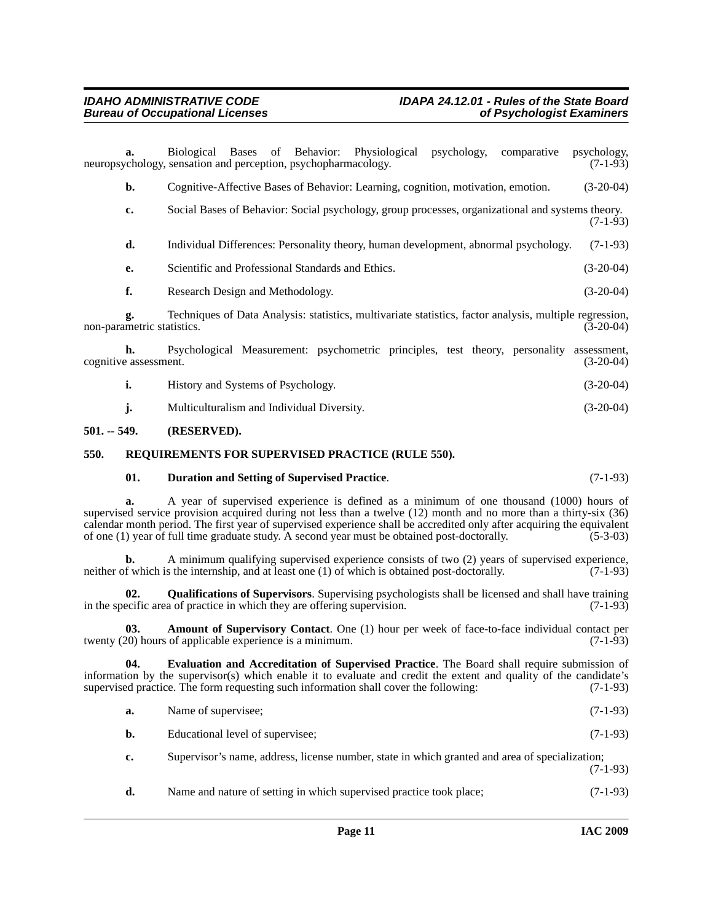**a.** Biological Bases of Behavior: Physiological psychology, comparative psychology, neuropsychology, sensation and perception, psychopharmacology. (7-1-93) **b.** Cognitive-Affective Bases of Behavior: Learning, cognition, motivation, emotion. (3-20-04) **c.** Social Bases of Behavior: Social psychology, group processes, organizational and systems theory.  $(7-1-93)$ **d.** Individual Differences: Personality theory, human development, abnormal psychology. (7-1-93) **e.** Scientific and Professional Standards and Ethics. (3-20-04) **f.** Research Design and Methodology. (3-20-04) **g.** Techniques of Data Analysis: statistics, multivariate statistics, factor analysis, multiple regression, metric statistics. (3-20-04) non-parametric statistics. **h.** Psychological Measurement: psychometric principles, test theory, personality assessment, cognitive assessment. (3-20-04) **i.** History and Systems of Psychology. (3-20-04) **j.** Multiculturalism and Individual Diversity. (3-20-04)

### <span id="page-10-0"></span>**501. -- 549. (RESERVED).**

### <span id="page-10-1"></span>**550. REQUIREMENTS FOR SUPERVISED PRACTICE (RULE 550).**

### <span id="page-10-6"></span><span id="page-10-3"></span>**01. Duration and Setting of Supervised Practice**. (7-1-93)

**a.** A year of supervised experience is defined as a minimum of one thousand (1000) hours of supervised service provision acquired during not less than a twelve (12) month and no more than a thirty-six (36) calendar month period. The first year of supervised experience shall be accredited only after acquiring the equivalent of one (1) year of full time graduate study. A second year must be obtained post-doctorally. (5-3-03) of one  $(1)$  year of full time graduate study. A second year must be obtained post-doctorally.

**b.** A minimum qualifying supervised experience consists of two (2) years of supervised experience, neither of which is the internship, and at least one (1) of which is obtained post-doctorally. (7-1-93)

<span id="page-10-5"></span>**02. Qualifications of Supervisors**. Supervising psychologists shall be licensed and shall have training in the specific area of practice in which they are offering supervision. (7-1-93)

<span id="page-10-2"></span>**03. Amount of Supervisory Contact**. One (1) hour per week of face-to-face individual contact per 20) hours of applicable experience is a minimum. twenty  $(20)$  hours of applicable experience is a minimum.

**04. Evaluation and Accreditation of Supervised Practice**. The Board shall require submission of information by the supervisor(s) which enable it to evaluate and credit the extent and quality of the candidate's supervised practice. The form requesting such information shall cover the following: (7-1-93)

- <span id="page-10-4"></span>**a.** Name of supervisee; (7-1-93)
- **b.** Educational level of supervisee; (7-1-93)

**c.** Supervisor's name, address, license number, state in which granted and area of specialization; (7-1-93)

**d.** Name and nature of setting in which supervised practice took place; (7-1-93)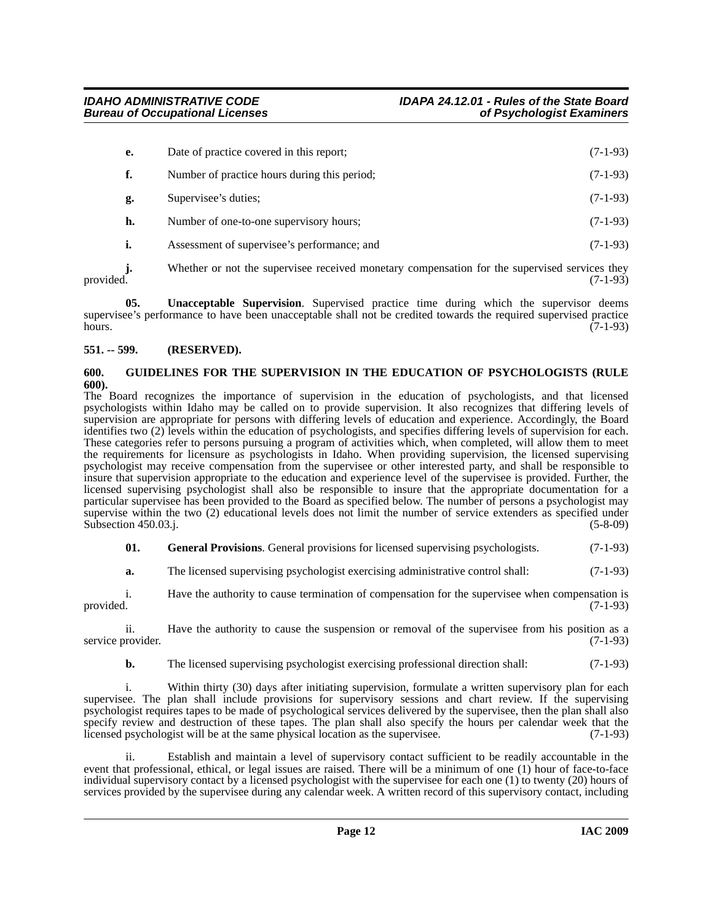| е. | Date of practice covered in this report;     | $(7-1-93)$ |
|----|----------------------------------------------|------------|
|    | Number of practice hours during this period; | $(7-1-93)$ |
| g. | Supervisee's duties;                         | $(7-1-93)$ |
| h. | Number of one-to-one supervisory hours;      | $(7-1-93)$ |
|    | Assessment of supervisee's performance; and  | $(7-1-93)$ |

**j.** Whether or not the supervisee received monetary compensation for the supervised services they provided. (7-1-93) provided.  $(7-1-93)$ 

<span id="page-11-3"></span>**05. Unacceptable Supervision**. Supervised practice time during which the supervisor deems supervisee's performance to have been unacceptable shall not be credited towards the required supervised practice<br>(7-1-93) hours.  $(7-1-93)$ 

### <span id="page-11-0"></span>**551. -- 599. (RESERVED).**

### <span id="page-11-2"></span><span id="page-11-1"></span>**600. GUIDELINES FOR THE SUPERVISION IN THE EDUCATION OF PSYCHOLOGISTS (RULE 600).**

The Board recognizes the importance of supervision in the education of psychologists, and that licensed psychologists within Idaho may be called on to provide supervision. It also recognizes that differing levels of supervision are appropriate for persons with differing levels of education and experience. Accordingly, the Board identifies two (2) levels within the education of psychologists, and specifies differing levels of supervision for each. These categories refer to persons pursuing a program of activities which, when completed, will allow them to meet the requirements for licensure as psychologists in Idaho. When providing supervision, the licensed supervising psychologist may receive compensation from the supervisee or other interested party, and shall be responsible to insure that supervision appropriate to the education and experience level of the supervisee is provided. Further, the licensed supervising psychologist shall also be responsible to insure that the appropriate documentation for a particular supervisee has been provided to the Board as specified below. The number of persons a psychologist may supervise within the two (2) educational levels does not limit the number of service extenders as specified under Subsection 450.03.j. (5-8-09)

**01.** General Provisions. General provisions for licensed supervising psychologists. (7-1-93)

**a.** The licensed supervising psychologist exercising administrative control shall:  $(7-1-93)$ 

i. Have the authority to cause termination of compensation for the supervisee when compensation is provided.  $(7-1-93)$ 

ii. Have the authority to cause the suspension or removal of the supervisee from his position as a service provider. (7-1-93)

**b.** The licensed supervising psychologist exercising professional direction shall: (7-1-93)

i. Within thirty (30) days after initiating supervision, formulate a written supervisory plan for each supervisee. The plan shall include provisions for supervisory sessions and chart review. If the supervising psychologist requires tapes to be made of psychological services delivered by the supervisee, then the plan shall also specify review and destruction of these tapes. The plan shall also specify the hours per calendar week that the licensed psychologist will be at the same physical location as the supervisee. (7-1-93)

ii. Establish and maintain a level of supervisory contact sufficient to be readily accountable in the event that professional, ethical, or legal issues are raised. There will be a minimum of one (1) hour of face-to-face individual supervisory contact by a licensed psychologist with the supervisee for each one (1) to twenty (20) hours of services provided by the supervisee during any calendar week. A written record of this supervisory contact, including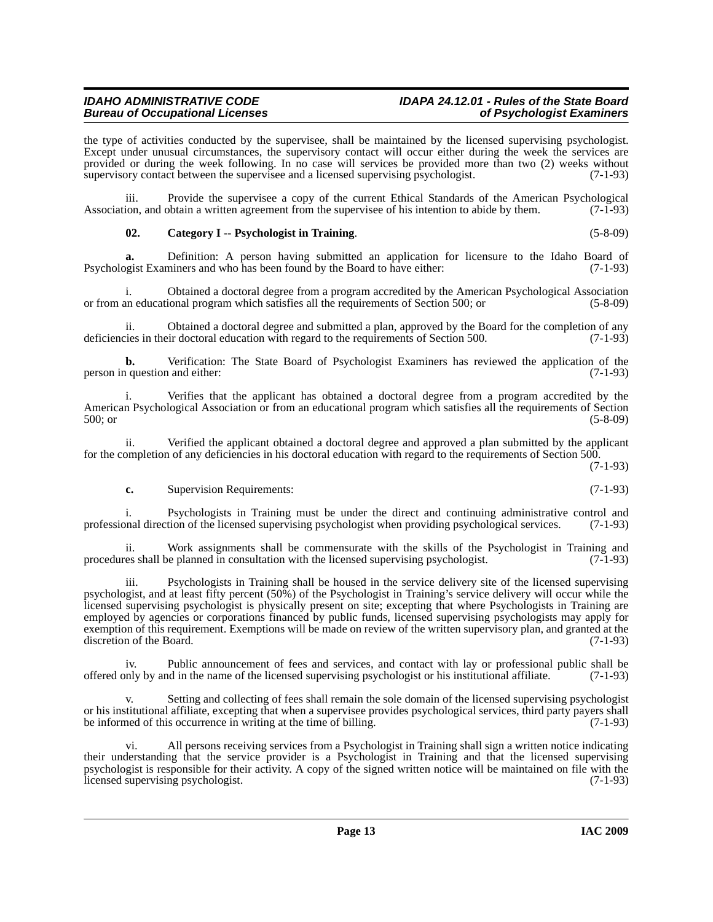### *IDAHO ADMINISTRATIVE CODE IDAPA 24.12.01 - Rules of the State Board*

the type of activities conducted by the supervisee, shall be maintained by the licensed supervising psychologist. Except under unusual circumstances, the supervisory contact will occur either during the week the services are provided or during the week following. In no case will services be provided more than two (2) weeks without supervisory contact between the supervise and a licensed supervising psychologist. (7-1-93) supervisory contact between the supervisee and a licensed supervising psychologist.

iii. Provide the supervisee a copy of the current Ethical Standards of the American Psychological ion, and obtain a written agreement from the supervisee of his intention to abide by them. (7-1-93) Association, and obtain a written agreement from the supervisee of his intention to abide by them.

### <span id="page-12-0"></span>**02. Category I -- Psychologist in Training**. (5-8-09)

**a.** Definition: A person having submitted an application for licensure to the Idaho Board of Psychologist Examiners and who has been found by the Board to have either: (7-1-93)

i. Obtained a doctoral degree from a program accredited by the American Psychological Association or from an educational program which satisfies all the requirements of Section 500; or (5-8-09)

ii. Obtained a doctoral degree and submitted a plan, approved by the Board for the completion of any is their doctoral education with regard to the requirements of Section 500. (7-1-93) deficiencies in their doctoral education with regard to the requirements of Section 500.

**b.** Verification: The State Board of Psychologist Examiners has reviewed the application of the person in question and either: (7-1-93)

i. Verifies that the applicant has obtained a doctoral degree from a program accredited by the American Psychological Association or from an educational program which satisfies all the requirements of Section 500; or (5-8-09)

ii. Verified the applicant obtained a doctoral degree and approved a plan submitted by the applicant for the completion of any deficiencies in his doctoral education with regard to the requirements of Section 500.

(7-1-93)

### **c.** Supervision Requirements: (7-1-93)

i. Psychologists in Training must be under the direct and continuing administrative control and professional direction of the licensed supervising psychologist when providing psychological services. (7-1-93)

ii. Work assignments shall be commensurate with the skills of the Psychologist in Training and es shall be planned in consultation with the licensed supervising psychologist. (7-1-93) procedures shall be planned in consultation with the licensed supervising psychologist.

Psychologists in Training shall be housed in the service delivery site of the licensed supervising psychologist, and at least fifty percent (50%) of the Psychologist in Training's service delivery will occur while the licensed supervising psychologist is physically present on site; excepting that where Psychologists in Training are employed by agencies or corporations financed by public funds, licensed supervising psychologists may apply for exemption of this requirement. Exemptions will be made on review of the written supervisory plan, and granted at the  $\alpha$  discretion of the Board. (7-1-93)

iv. Public announcement of fees and services, and contact with lay or professional public shall be offered only by and in the name of the licensed supervising psychologist or his institutional affiliate. (7-1-93)

Setting and collecting of fees shall remain the sole domain of the licensed supervising psychologist or his institutional affiliate, excepting that when a supervisee provides psychological services, third party payers shall be informed of this occurrence in writing at the time of billing. (7-1-93)

vi. All persons receiving services from a Psychologist in Training shall sign a written notice indicating their understanding that the service provider is a Psychologist in Training and that the licensed supervising psychologist is responsible for their activity. A copy of the signed written notice will be maintained on file with the licensed supervising psychologist. (7-1-93)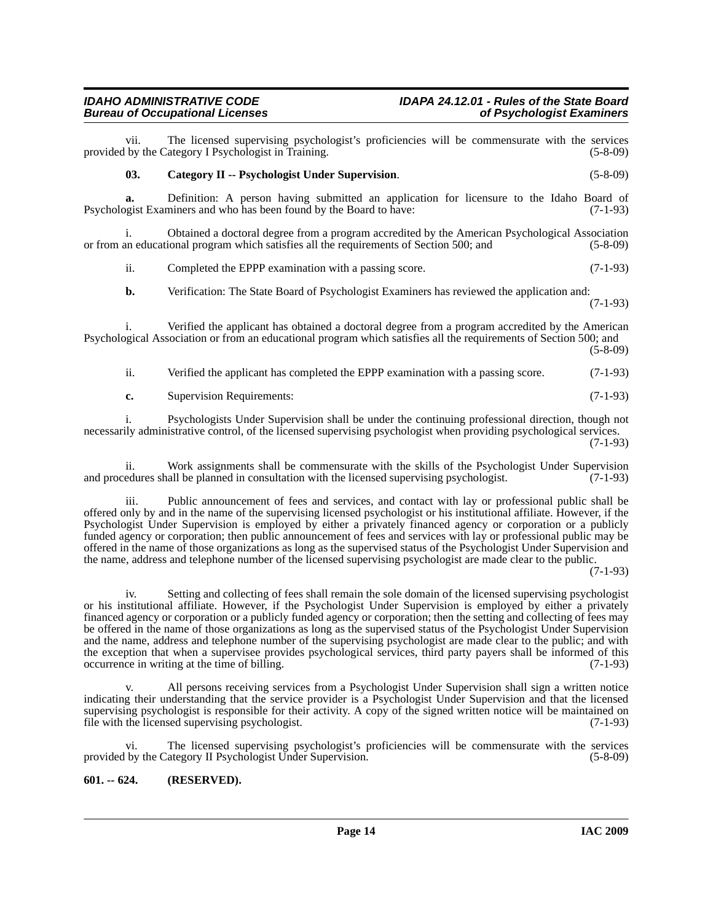### *IDAHO ADMINISTRATIVE CODE IDAPA 24.12.01 - Rules of the State Board* **Bureau of Occupational Licenses**

<span id="page-13-1"></span>vii. The licensed supervising psychologist's proficiencies will be commensurate with the services by the Category I Psychologist in Training. (5-8-09) provided by the Category I Psychologist in Training. **03. Category II -- Psychologist Under Supervision**. (5-8-09) **a.** Definition: A person having submitted an application for licensure to the Idaho Board of point Examiners and who has been found by the Board to have: (7-1-93) Psychologist Examiners and who has been found by the Board to have: i. Obtained a doctoral degree from a program accredited by the American Psychological Association or from an educational program which satisfies all the requirements of Section 500; and (5-8-09) ii. Completed the EPPP examination with a passing score. (7-1-93) **b.** Verification: The State Board of Psychologist Examiners has reviewed the application and: (7-1-93)

i. Verified the applicant has obtained a doctoral degree from a program accredited by the American Psychological Association or from an educational program which satisfies all the requirements of Section 500; and (5-8-09)

| ii. | Verified the applicant has completed the EPPP examination with a passing score. | $(7-1-93)$ |
|-----|---------------------------------------------------------------------------------|------------|
| c.  | Supervision Requirements:                                                       | $(7-1-93)$ |

i. Psychologists Under Supervision shall be under the continuing professional direction, though not necessarily administrative control, of the licensed supervising psychologist when providing psychological services. (7-1-93)

ii. Work assignments shall be commensurate with the skills of the Psychologist Under Supervision and procedures shall be planned in consultation with the licensed supervising psychologist. (7-1-93)

iii. Public announcement of fees and services, and contact with lay or professional public shall be offered only by and in the name of the supervising licensed psychologist or his institutional affiliate. However, if the Psychologist Under Supervision is employed by either a privately financed agency or corporation or a publicly funded agency or corporation; then public announcement of fees and services with lay or professional public may be offered in the name of those organizations as long as the supervised status of the Psychologist Under Supervision and the name, address and telephone number of the licensed supervising psychologist are made clear to the public.

(7-1-93)

iv. Setting and collecting of fees shall remain the sole domain of the licensed supervising psychologist or his institutional affiliate. However, if the Psychologist Under Supervision is employed by either a privately financed agency or corporation or a publicly funded agency or corporation; then the setting and collecting of fees may be offered in the name of those organizations as long as the supervised status of the Psychologist Under Supervision and the name, address and telephone number of the supervising psychologist are made clear to the public; and with the exception that when a supervisee provides psychological services, third party payers shall be informed of this occurrence in writing at the time of billing. (7-1-93) occurrence in writing at the time of billing.

All persons receiving services from a Psychologist Under Supervision shall sign a written notice indicating their understanding that the service provider is a Psychologist Under Supervision and that the licensed supervising psychologist is responsible for their activity. A copy of the signed written notice will be maintained on file with the licensed supervising psychologist. (7-1-93)

vi. The licensed supervising psychologist's proficiencies will be commensurate with the services provided by the Category II Psychologist Under Supervision. (5-8-09)

### <span id="page-13-0"></span>**601. -- 624. (RESERVED).**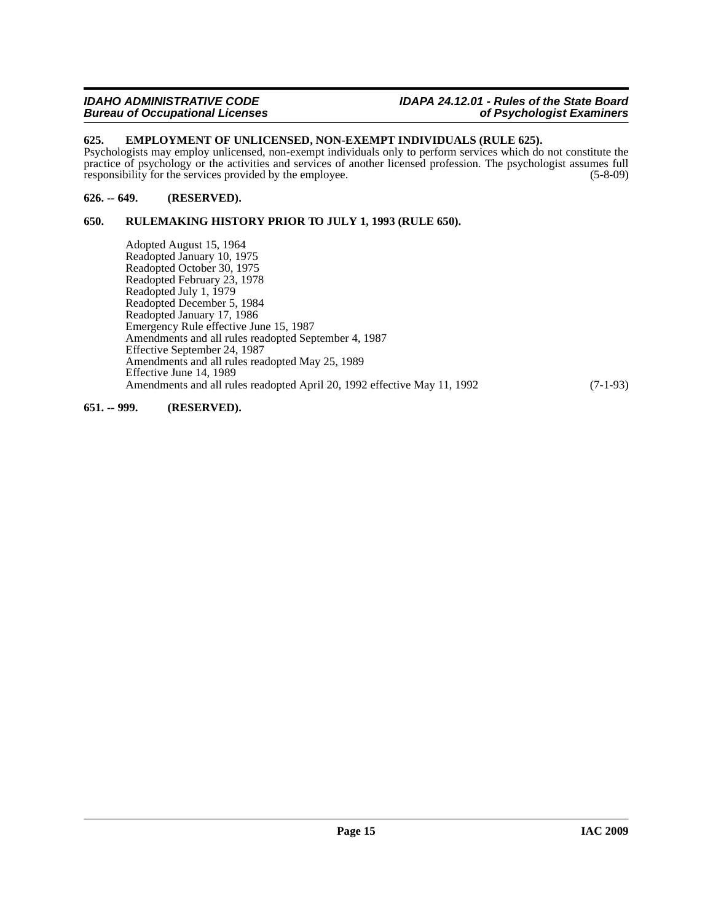### <span id="page-14-0"></span>**625. EMPLOYMENT OF UNLICENSED, NON-EXEMPT INDIVIDUALS (RULE 625).**

Psychologists may employ unlicensed, non-exempt individuals only to perform services which do not constitute the practice of psychology or the activities and services of another licensed profession. The psychologist assumes full responsibility for the services provided by the employee. (5-8-09) responsibility for the services provided by the employee.

### <span id="page-14-1"></span>**626. -- 649. (RESERVED).**

### <span id="page-14-2"></span>**650. RULEMAKING HISTORY PRIOR TO JULY 1, 1993 (RULE 650).**

Adopted August 15, 1964 Readopted January 10, 1975 Readopted October 30, 1975 Readopted February 23, 1978 Readopted July 1, 1979 Readopted December 5, 1984 Readopted January 17, 1986 Emergency Rule effective June 15, 1987 Amendments and all rules readopted September 4, 1987 Effective September 24, 1987 Amendments and all rules readopted May 25, 1989 Effective June 14, 1989 Amendments and all rules readopted April 20, 1992 effective May 11, 1992 (7-1-93)

### <span id="page-14-3"></span>**651. -- 999. (RESERVED).**